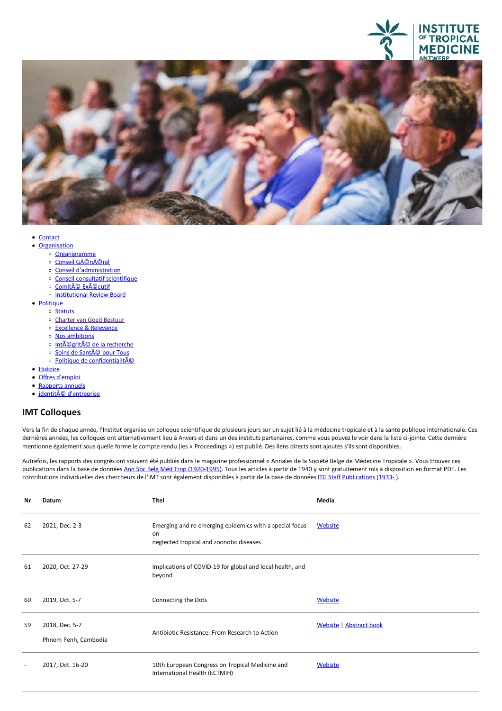



- [Contact](file:///F/contact)<br>• Organisation
- - o [Organigramme](https://www.itg.be/Files/docs/organogram.pdf)
	- o Conseil GÃOnÃOral
	- Conseil [d'administration](file:///F/sur-nous/conseil-dadministration)
	- Conseil consultatif [scientifique](file:///F/conseil-consultatif-scientifique)
	- o Comité [Exécutif](file:///F/comite-de-gestion)
	- o [Institutional](file:///F/institutional-review-board) Review Board
- [Politique](javascript:void(0))
	- $\circ$  [Statuts](file:///F/statuts)
	- o Charter van Goed Bestuur
	- <sup>o</sup> [Excellence](file:///F/excellence-relevance) & Relevance<br><sup>o</sup> Nos ambitions
	-
	- o [Intégrité](file:///F/integrite-scientifique) de la recherche
	- o Soins de Santé pour Tous
	- o Politique de confidentialitÃO
- 
- [Histoire](file:///F/notre-histoire)<br>• Offres [d'emploi](file:///F/offres-demploi)
- Rapports annuels
- · identité [d'entreprise](file:///F/identite-dentreprise)

## **IMT Colloques**

Vers la fin de chaque année, l'Institut organise un colloque scientifique de plusieurs jours sur un sujet lié à la médecine tropicale et à la santé publique internationale. Ces dernières années, les colloques ont alternativement lieu à Anvers et dans un des instituts partenaires, comme vous pouvez le voir dans la liste ci-jointe. Cette dernière<br>mentionne également sous quelle forme le compte rend

Autrefois, les rapports des congrès ont souvent été publiés dans le magazine professionnel « Annales de la Société Belge de Médecine Tropicale ». Vous trouvez ces publications dans la base de données Ann Soc Belg Méd Trop [\(1920-1995\)](http://lib.itg.be/literature/databases.php). Tous les articles à partir de 1940 y sont gratuitement mis à disposition en format PDF. Les contributions individuelles des chercheurs de l'IMT sont également disponibles à partir de la base de données ITG Staff [Publications](http://lib.itg.be/literature/databases.php) (1933-).

| Nr                       | Datum                                  | <b>Titel</b>                                                                                              | Media                   |
|--------------------------|----------------------------------------|-----------------------------------------------------------------------------------------------------------|-------------------------|
| 62                       | 2021, Dec. 2-3                         | Emerging and re-emerging epidemics with a special focus<br>on<br>neglected tropical and zoonotic diseases | Website                 |
| 61                       | 2020, Oct. 27-29                       | Implications of COVID-19 for global and local health, and<br>beyond                                       |                         |
| 60                       | 2019, Oct. 5-7                         | Connecting the Dots                                                                                       | Website                 |
| 59                       | 2018, Dec. 5-7<br>Phnom Penh, Cambodia | Antibiotic Resistance: From Research to Action                                                            | Website   Abstract book |
| $\overline{\phantom{a}}$ | 2017, Oct. 16-20                       | 10th European Congress on Tropical Medicine and<br>International Health (ECTMIH)                          | <b>Website</b>          |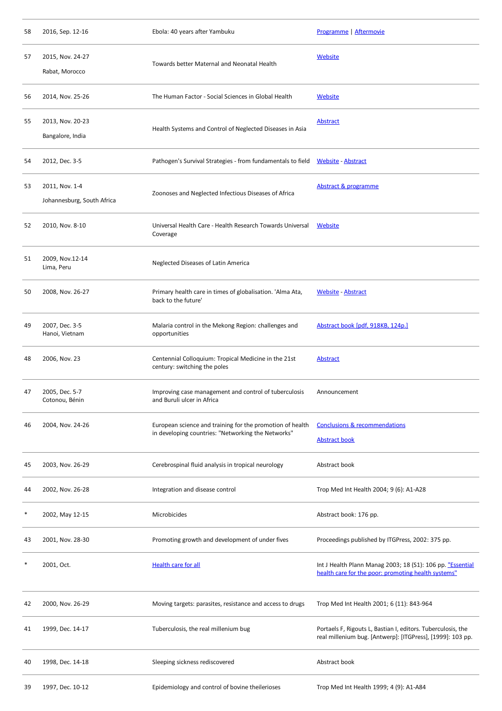| 58 | 2016, Sep. 12-16                             | Ebola: 40 years after Yambuku                                                                                   | Programme   Aftermovie                                                                                                     |
|----|----------------------------------------------|-----------------------------------------------------------------------------------------------------------------|----------------------------------------------------------------------------------------------------------------------------|
| 57 | 2015, Nov. 24-27<br>Rabat, Morocco           | Towards better Maternal and Neonatal Health                                                                     | <b>Website</b>                                                                                                             |
| 56 | 2014, Nov. 25-26                             | The Human Factor - Social Sciences in Global Health                                                             | <b>Website</b>                                                                                                             |
| 55 | 2013, Nov. 20-23<br>Bangalore, India         | Health Systems and Control of Neglected Diseases in Asia                                                        | <b>Abstract</b>                                                                                                            |
| 54 | 2012, Dec. 3-5                               | Pathogen's Survival Strategies - from fundamentals to field Website - Abstract                                  |                                                                                                                            |
| 53 | 2011, Nov. 1-4<br>Johannesburg, South Africa | Zoonoses and Neglected Infectious Diseases of Africa                                                            | Abstract & programme                                                                                                       |
| 52 | 2010, Nov. 8-10                              | Universal Health Care - Health Research Towards Universal<br>Coverage                                           | Website                                                                                                                    |
| 51 | 2009, Nov.12-14<br>Lima, Peru                | Neglected Diseases of Latin America                                                                             |                                                                                                                            |
| 50 | 2008, Nov. 26-27                             | Primary health care in times of globalisation. 'Alma Ata,<br>back to the future'                                | <b>Website - Abstract</b>                                                                                                  |
| 49 | 2007, Dec. 3-5<br>Hanoi, Vietnam             | Malaria control in the Mekong Region: challenges and<br>opportunities                                           | Abstract book [pdf, 918KB, 124p.]                                                                                          |
| 48 | 2006, Nov. 23                                | Centennial Colloquium: Tropical Medicine in the 21st<br>century: switching the poles                            | <b>Abstract</b>                                                                                                            |
| 47 | 2005, Dec. 5-7<br>Cotonou, Bénin             | Improving case management and control of tuberculosis<br>and Buruli ulcer in Africa                             | Announcement                                                                                                               |
| 46 | 2004, Nov. 24-26                             | European science and training for the promotion of health<br>in developing countries: "Networking the Networks" | <b>Conclusions &amp; recommendations</b><br><b>Abstract book</b>                                                           |
| 45 | 2003, Nov. 26-29                             | Cerebrospinal fluid analysis in tropical neurology                                                              | Abstract book                                                                                                              |
| 44 | 2002, Nov. 26-28                             | Integration and disease control                                                                                 | Trop Med Int Health 2004; 9 (6): A1-A28                                                                                    |
| ∗  | 2002, May 12-15                              | Microbicides                                                                                                    | Abstract book: 176 pp.                                                                                                     |
| 43 | 2001, Nov. 28-30                             | Promoting growth and development of under fives                                                                 | Proceedings published by ITGPress, 2002: 375 pp.                                                                           |
| ∗  | 2001, Oct.                                   | Health care for all                                                                                             | Int J Health Plann Manag 2003; 18 (S1): 106 pp. "Essential<br>health care for the poor: promoting health systems"          |
| 42 | 2000, Nov. 26-29                             | Moving targets: parasites, resistance and access to drugs                                                       | Trop Med Int Health 2001; 6 (11): 843-964                                                                                  |
| 41 | 1999, Dec. 14-17                             | Tuberculosis, the real millenium bug                                                                            | Portaels F, Rigouts L, Bastian I, editors. Tuberculosis, the<br>real millenium bug. [Antwerp]: [ITGPress], [1999]: 103 pp. |
| 40 | 1998, Dec. 14-18                             | Sleeping sickness rediscovered                                                                                  | Abstract book                                                                                                              |
| 39 | 1997, Dec. 10-12                             | Epidemiology and control of bovine theilerioses                                                                 | Trop Med Int Health 1999; 4 (9): A1-A84                                                                                    |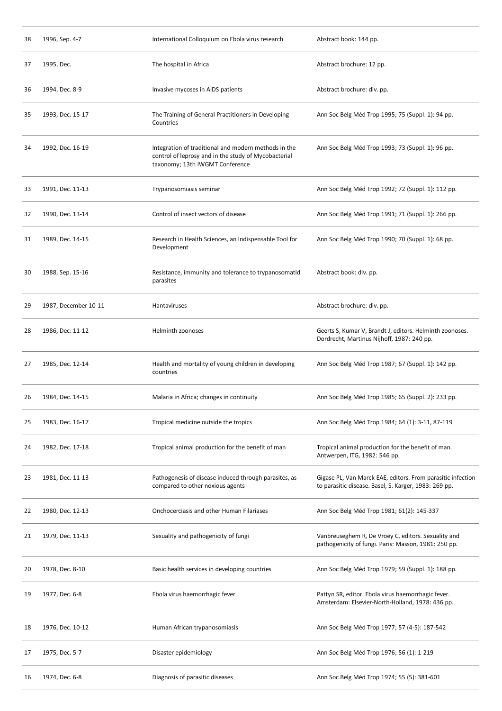| 38 | 1996, Sep. 4-7       | International Colloquium on Ebola virus research                                                                                                | Abstract book: 144 pp.                                                                                               |
|----|----------------------|-------------------------------------------------------------------------------------------------------------------------------------------------|----------------------------------------------------------------------------------------------------------------------|
| 37 | 1995, Dec.           | The hospital in Africa                                                                                                                          | Abstract brochure: 12 pp.                                                                                            |
| 36 | 1994, Dec. 8-9       | Invasive mycoses in AIDS patients                                                                                                               | Abstract brochure: div. pp.                                                                                          |
| 35 | 1993, Dec. 15-17     | The Training of General Practitioners in Developing<br>Countries                                                                                | Ann Soc Belg Méd Trop 1995; 75 (Suppl. 1): 94 pp.                                                                    |
| 34 | 1992, Dec. 16-19     | Integration of traditional and modern methods in the<br>control of leprosy and in the study of Mycobacterial<br>taxonomy; 13th IWGMT Conference | Ann Soc Belg Méd Trop 1993; 73 (Suppl. 1): 96 pp.                                                                    |
| 33 | 1991, Dec. 11-13     | Trypanosomiasis seminar                                                                                                                         | Ann Soc Belg Méd Trop 1992; 72 (Suppl. 1): 112 pp.                                                                   |
| 32 | 1990, Dec. 13-14     | Control of insect vectors of disease                                                                                                            | Ann Soc Belg Méd Trop 1991; 71 (Suppl. 1): 266 pp.                                                                   |
| 31 | 1989, Dec. 14-15     | Research in Health Sciences, an Indispensable Tool for<br>Development                                                                           | Ann Soc Belg Méd Trop 1990; 70 (Suppl. 1): 68 pp.                                                                    |
| 30 | 1988, Sep. 15-16     | Resistance, immunity and tolerance to trypanosomatid<br>parasites                                                                               | Abstract book: div. pp.                                                                                              |
| 29 | 1987, December 10-11 | Hantaviruses                                                                                                                                    | Abstract brochure: div. pp.                                                                                          |
| 28 | 1986, Dec. 11-12     | Helminth zoonoses                                                                                                                               | Geerts S, Kumar V, Brandt J, editors. Helminth zoonoses.<br>Dordrecht, Martinus Nijhoff, 1987: 240 pp.               |
| 27 | 1985, Dec. 12-14     | Health and mortality of young children in developing<br>countries                                                                               | Ann Soc Belg Méd Trop 1987; 67 (Suppl. 1): 142 pp.                                                                   |
| 26 | 1984, Dec. 14-15     | Malaria in Africa; changes in continuity                                                                                                        | Ann Soc Belg Méd Trop 1985; 65 (Suppl. 2): 233 pp.                                                                   |
| 25 | 1983, Dec. 16-17     | Tropical medicine outside the tropics                                                                                                           | Ann Soc Belg Méd Trop 1984; 64 (1): 3-11, 87-119                                                                     |
| 24 | 1982, Dec. 17-18     | Tropical animal production for the benefit of man                                                                                               | Tropical animal production for the benefit of man.<br>Antwerpen, ITG, 1982: 546 pp.                                  |
| 23 | 1981, Dec. 11-13     | Pathogenesis of disease induced through parasites, as<br>compared to other noxious agents                                                       | Gigase PL, Van Marck EAE, editors. From parasitic infection<br>to parasitic disease. Basel, S. Karger, 1983: 269 pp. |
| 22 | 1980, Dec. 12-13     | Onchocerciasis and other Human Filariases                                                                                                       | Ann Soc Belg Méd Trop 1981; 61(2): 145-337                                                                           |
| 21 | 1979, Dec. 11-13     | Sexuality and pathogenicity of fungi                                                                                                            | Vanbreuseghem R, De Vroey C, editors. Sexuality and<br>pathogenicity of fungi. Paris: Masson, 1981: 250 pp.          |
| 20 | 1978, Dec. 8-10      | Basic health services in developing countries                                                                                                   | Ann Soc Belg Méd Trop 1979; 59 (Suppl. 1): 188 pp.                                                                   |
| 19 | 1977, Dec. 6-8       | Ebola virus haemorrhagic fever                                                                                                                  | Pattyn SR, editor. Ebola virus haemorrhagic fever.<br>Amsterdam: Elsevier-North-Holland, 1978: 436 pp.               |
| 18 | 1976, Dec. 10-12     | Human African trypanosomiasis                                                                                                                   | Ann Soc Belg Méd Trop 1977; 57 (4-5): 187-542                                                                        |
| 17 | 1975, Dec. 5-7       | Disaster epidemiology                                                                                                                           | Ann Soc Belg Méd Trop 1976; 56 (1): 1-219                                                                            |
| 16 | 1974, Dec. 6-8       | Diagnosis of parasitic diseases                                                                                                                 | Ann Soc Belg Méd Trop 1974; 55 (5): 381-601                                                                          |